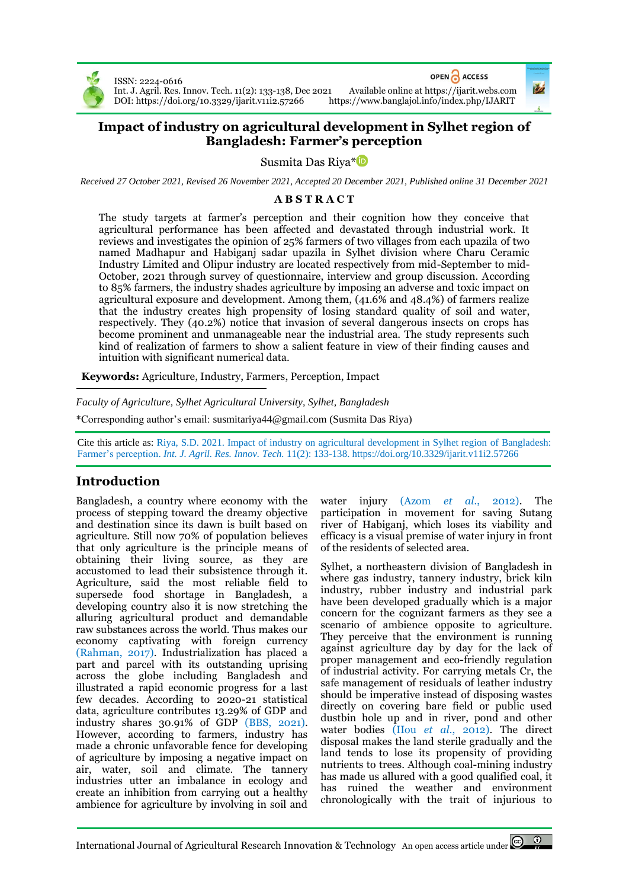

ISSN: 2224-0616 DOI[: https://doi.org/10.3329/ijarit.v11i2.57266](https://doi.org/10.3329/ijarit.v11i2.57266) OPEN A ACCESS

Int. J. Agril. Res. Innov. Tech. 11(2): 133-138, Dec 2021 Available online a[t https://ijarit.webs.com](http://ijarit.webs.com/)

# **Impact of industry on agricultural development in Sylhet region of Bangladesh: Farmer's perception**

Susmita Das Riya\*

*Received 27 October 2021, Revised 26 November 2021, Accepted 20 December 2021, Published online 31 December 2021*

## **A B S T R A C T**

The study targets at farmer's perception and their cognition how they conceive that agricultural performance has been affected and devastated through industrial work. It reviews and investigates the opinion of 25% farmers of two villages from each upazila of two named Madhapur and Habiganj sadar upazila in Sylhet division where Charu Ceramic Industry Limited and Olipur industry are located respectively from mid-September to mid-October, 2021 through survey of questionnaire, interview and group discussion. According to 85% farmers, the industry shades agriculture by imposing an adverse and toxic impact on agricultural exposure and development. Among them, (41.6% and 48.4%) of farmers realize that the industry creates high propensity of losing standard quality of soil and water, respectively. They (40.2%) notice that invasion of several dangerous insects on crops has become prominent and unmanageable near the industrial area. The study represents such kind of realization of farmers to show a salient feature in view of their finding causes and intuition with significant numerical data.

**Keywords:** Agriculture, Industry, Farmers, Perception, Impact

*Faculty of Agriculture, Sylhet Agricultural University, Sylhet, Bangladesh*

\*Corresponding author's email[: susmitariya44@gmail.com](mailto:susmitariya44@gmail.com) (Susmita Das Riya)

Cite this article as: Riya, S.D. 2021. Impact of industry on agricultural development in Sylhet region of Bangladesh: Farmer's perception. *Int. J. Agril. Res. Innov. Tech.* 11(2): 133-138. <https://doi.org/10.3329/ijarit.v11i2.57266>

# **Introduction**

Bangladesh, a country where economy with the process of stepping toward the dreamy objective and destination since its dawn is built based on agriculture. Still now 70% of population believes that only agriculture is the principle means of obtaining their living source, as they are accustomed to lead their subsistence through it. Agriculture, said the most reliable field to supersede food shortage in Bangladesh, a developing country also it is now stretching the alluring agricultural product and demandable raw substances across the world. Thus makes our economy captivating with foreign currency (Rahman, 2017). Industrialization has placed a part and parcel with its outstanding uprising across the globe including Bangladesh and illustrated a rapid economic progress for a last few decades. According to 2020-21 statistical data, agriculture contributes 13.29% of GDP and industry shares 30.91% of GDP (BBS, 2021). However, according to farmers, industry has made a chronic unfavorable fence for developing of agriculture by imposing a negative impact on air, water, soil and climate. The tannery industries utter an imbalance in ecology and create an inhibition from carrying out a healthy ambience for agriculture by involving in soil and

water injury (Azom *et al.*, 2012). The participation in movement for saving Sutang river of Habiganj, which loses its viability and efficacy is a visual premise of water injury in front of the residents of selected area.

Sylhet, a northeastern division of Bangladesh in where gas industry, tannery industry, brick kiln industry, rubber industry and industrial park have been developed gradually which is a major concern for the cognizant farmers as they see a scenario of ambience opposite to agriculture. They perceive that the environment is running against agriculture day by day for the lack of proper management and eco-friendly regulation of industrial activity. For carrying metals Cr, the safe management of residuals of leather industry should be imperative instead of disposing wastes directly on covering bare field or public used dustbin hole up and in river, pond and other water bodies (IIou *et al.*, 2012). The direct disposal makes the land sterile gradually and the land tends to lose its propensity of providing nutrients to trees. Although coal-mining industry has made us allured with a good qualified coal, it has ruined the weather and environment chronologically with the trait of injurious to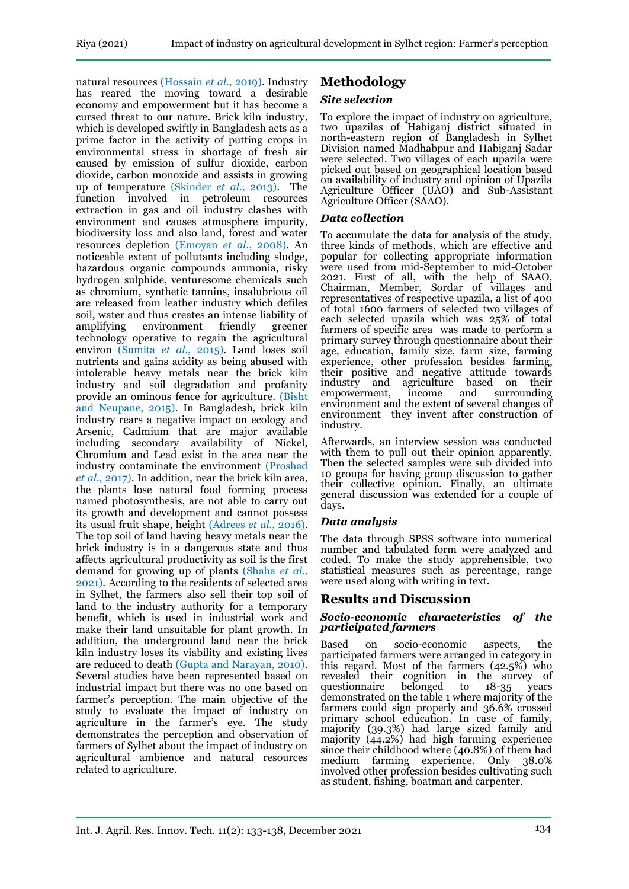natural resources (Hossain *et al.,* 2019). Industry has reared the moving toward a desirable economy and empowerment but it has become a cursed threat to our nature. Brick kiln industry, which is developed swiftly in Bangladesh acts as a prime factor in the activity of putting crops in environmental stress in shortage of fresh air caused by emission of sulfur dioxide, carbon dioxide, carbon monoxide and assists in growing up of temperature (Skinder *et al.*, 2013). The function involved in petroleum resources extraction in gas and oil industry clashes with environment and causes atmosphere impurity, biodiversity loss and also land, forest and water resources depletion (Emoyan *et al.*, 2008). An noticeable extent of pollutants including sludge, hazardous organic compounds ammonia, risky hydrogen sulphide, venturesome chemicals such as chromium, synthetic tannins, insalubrious oil are released from leather industry which defiles soil, water and thus creates an intense liability of<br>amplifying environment friendly greener amplifying environment friendly technology operative to regain the agricultural environ (Sumita *et al.*, 2015). Land loses soil nutrients and gains acidity as being abused with intolerable heavy metals near the brick kiln industry and soil degradation and profanity provide an ominous fence for agriculture. (Bisht and Neupane, 2015). In Bangladesh, brick kiln industry rears a negative impact on ecology and Arsenic, Cadmium that are major available including secondary availability of Nickel, Chromium and Lead exist in the area near the industry contaminate the environment (Proshad *et al.*, 2017). In addition, near the brick kiln area, the plants lose natural food forming process named photosynthesis, are not able to carry out its growth and development and cannot possess its usual fruit shape, height (Adrees *et al.,* 2016). The top soil of land having heavy metals near the brick industry is in a dangerous state and thus affects agricultural productivity as soil is the first demand for growing up of plants (Shaha *et al.*, 2021). According to the residents of selected area in Sylhet, the farmers also sell their top soil of land to the industry authority for a temporary benefit, which is used in industrial work and make their land unsuitable for plant growth. In addition, the underground land near the brick kiln industry loses its viability and existing lives are reduced to death (Gupta and Narayan, 2010). Several studies have been represented based on industrial impact but there was no one based on farmer's perception. The main objective of the study to evaluate the impact of industry on agriculture in the farmer's eye. The study demonstrates the perception and observation of farmers of Sylhet about the impact of industry on agricultural ambience and natural resources related to agriculture.

# **Methodology**

## *Site selection*

To explore the impact of industry on agriculture, two upazilas of Habiganj district situated in north-eastern region of Bangladesh in Sylhet Division named Madhabpur and Habiganj Sadar were selected. Two villages of each upazila were picked out based on geographical location based on availability of industry and opinion of Upazila Agriculture Officer (UAO) and Sub-Assistant Agriculture Officer (SAAO).

## *Data collection*

To accumulate the data for analysis of the study, three kinds of methods, which are effective and popular for collecting appropriate information were used from mid-September to mid-October 2021. First of all, with the help of SAAO, Chairman, Member, Sordar of villages and representatives of respective upazila, a list of 400 of total 1600 farmers of selected two villages of each selected upazila which was 25% of total farmers of specific area was made to perform a primary survey through questionnaire about their age, education, family size, farm size, farming experience, other profession besides farming, their positive and negative attitude towards industry and agriculture based on their empowerment, income and surrounding environment and the extent of several changes of environment they invent after construction of industry.

Afterwards, an interview session was conducted with them to pull out their opinion apparently. Then the selected samples were sub divided into 10 groups for having group discussion to gather their collective opinion. Finally, an ultimate general discussion was extended for a couple of days.

## *Data analysis*

The data through SPSS software into numerical number and tabulated form were analyzed and coded. To make the study apprehensible, two statistical measures such as percentage, range were used along with writing in text.

## **Results and Discussion**

#### *Socio-economic characteristics of the participated farmers*

Based on socio-economic aspects, the participated farmers were arranged in category in this regard. Most of the farmers (42.5%) who revealed their cognition in the survey of questionnaire belonged to 18-35 years questionnaire belonged to demonstrated on the table 1 where majority of the farmers could sign properly and 36.6% crossed primary school education. In case of family, majority (39.3%) had large sized family and majority (44.2%) had high farming experience since their childhood where (40.8%) of them had medium farming experience. Only 38.0% involved other profession besides cultivating such as student, fishing, boatman and carpenter.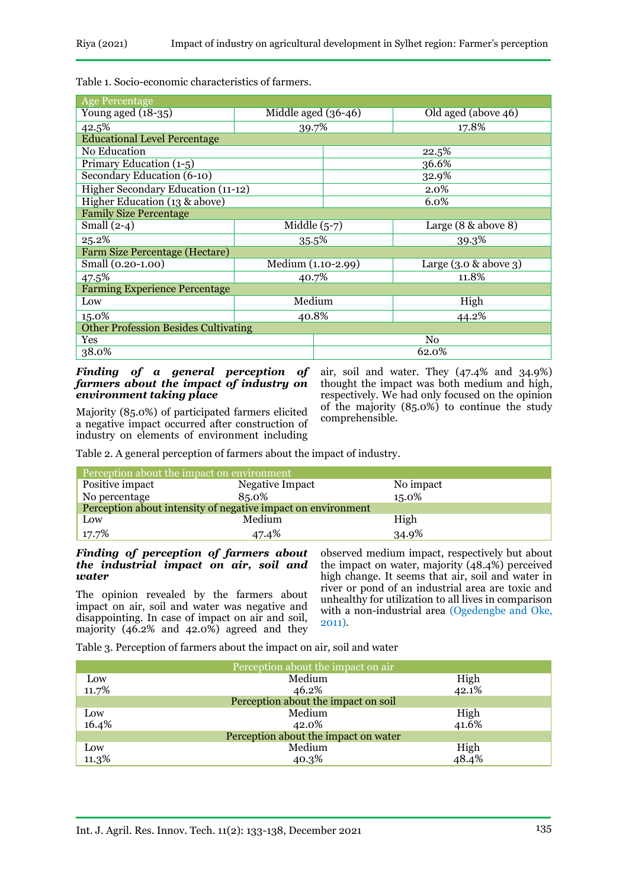Table 1. Socio-economic characteristics of farmers.

| <b>Age Percentage</b>                       |                       |                |                          |  |
|---------------------------------------------|-----------------------|----------------|--------------------------|--|
| Young aged $(18-35)$                        | Middle aged $(36-46)$ |                | Old aged (above 46)      |  |
| 42.5%                                       | 39.7%                 |                | 17.8%                    |  |
| <b>Educational Level Percentage</b>         |                       |                |                          |  |
| No Education                                |                       | 22.5%          |                          |  |
| Primary Education (1-5)                     |                       | 36.6%          |                          |  |
| Secondary Education (6-10)                  |                       | 32.9%          |                          |  |
| Higher Secondary Education (11-12)          |                       |                | 2.0%                     |  |
| Higher Education (13 & above)               |                       |                | 6.0%                     |  |
| <b>Family Size Percentage</b>               |                       |                |                          |  |
| Small $(2-4)$                               | Middle $(5-7)$        |                | Large $(8 \&$ above 8)   |  |
| 25.2%                                       | 35.5%                 |                | 39.3%                    |  |
| Farm Size Percentage (Hectare)              |                       |                |                          |  |
| Small (0.20-1.00)                           | Medium (1.10-2.99)    |                | Large $(3.0 \&$ above 3) |  |
| 47.5%                                       | 40.7%                 |                | 11.8%                    |  |
| <b>Farming Experience Percentage</b>        |                       |                |                          |  |
| Low                                         | Medium                |                | High                     |  |
| 15.0%                                       | 40.8%                 |                | 44.2%                    |  |
| <b>Other Profession Besides Cultivating</b> |                       |                |                          |  |
| Yes                                         |                       | N <sub>0</sub> |                          |  |
| 38.0%                                       |                       |                | 62.0%                    |  |

#### *Finding of a general perception of farmers about the impact of industry on environment taking place*

air, soil and water. They (47.4% and 34.9%) thought the impact was both medium and high, respectively. We had only focused on the opinion of the majority (85.0%) to continue the study comprehensible.

Majority (85.0%) of participated farmers elicited a negative impact occurred after construction of industry on elements of environment including

Table 2. A general perception of farmers about the impact of industry.

| Perception about the impact on environment                   |                 |           |  |
|--------------------------------------------------------------|-----------------|-----------|--|
| Positive impact                                              | Negative Impact | No impact |  |
| No percentage                                                | 85.0%           | 15.0%     |  |
| Perception about intensity of negative impact on environment |                 |           |  |
| Low                                                          | Medium          | High      |  |
| 17.7%                                                        | 47.4%           | 34.9%     |  |

#### *Finding of perception of farmers about the industrial impact on air, soil and water*

The opinion revealed by the farmers about impact on air, soil and water was negative and disappointing. In case of impact on air and soil, majority (46.2% and 42.0%) agreed and they

observed medium impact, respectively but about the impact on water, majority (48.4%) perceived high change. It seems that air, soil and water in river or pond of an industrial area are toxic and unhealthy for utilization to all lives in comparison with a non-industrial area (Ogedengbe and Oke, 2011).

Table 3. Perception of farmers about the impact on air, soil and water

| Perception about the impact on air   |        |       |
|--------------------------------------|--------|-------|
| Low                                  | Medium | High  |
| 11.7%                                | 46.2%  | 42.1% |
| Perception about the impact on soil  |        |       |
| Low                                  | Medium | High  |
| 16.4%                                | 42.0%  | 41.6% |
| Perception about the impact on water |        |       |
| Low                                  | Medium | High  |
| 11.3%                                | 40.3%  | 48.4% |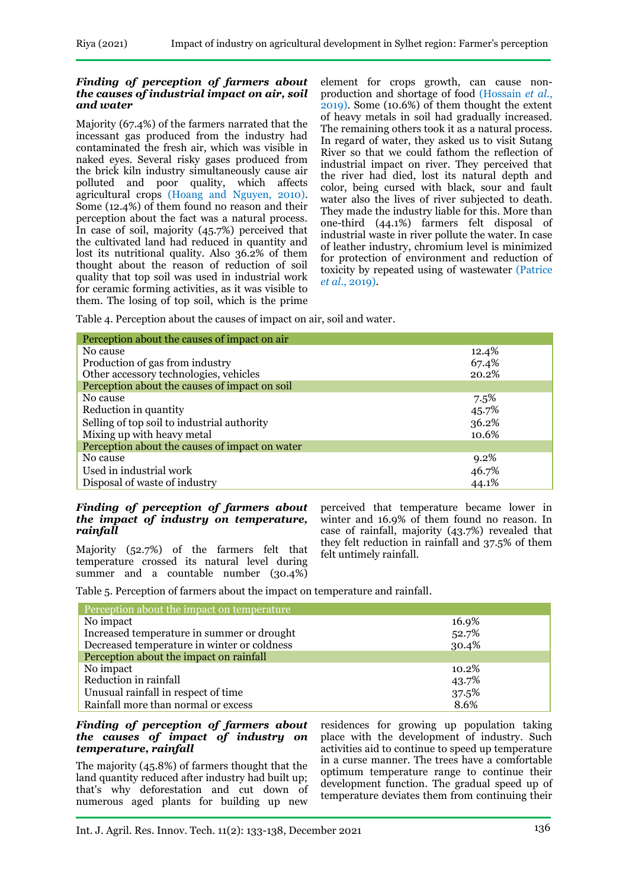#### *Finding of perception of farmers about the causes of industrial impact on air, soil and water*

Majority (67.4%) of the farmers narrated that the incessant gas produced from the industry had contaminated the fresh air, which was visible in naked eyes. Several risky gases produced from the brick kiln industry simultaneously cause air polluted and poor quality, which affects agricultural crops (Hoang and Nguyen, 2010). Some (12.4%) of them found no reason and their perception about the fact was a natural process. In case of soil, majority (45.7%) perceived that the cultivated land had reduced in quantity and lost its nutritional quality. Also 36.2% of them thought about the reason of reduction of soil quality that top soil was used in industrial work for ceramic forming activities, as it was visible to them. The losing of top soil, which is the prime

element for crops growth, can cause nonproduction and shortage of food (Hossain *et al*., 2019). Some (10.6%) of them thought the extent of heavy metals in soil had gradually increased. The remaining others took it as a natural process. In regard of water, they asked us to visit Sutang River so that we could fathom the reflection of industrial impact on river. They perceived that the river had died, lost its natural depth and color, being cursed with black, sour and fault water also the lives of river subjected to death. They made the industry liable for this. More than one-third (44.1%) farmers felt disposal of industrial waste in river pollute the water. In case of leather industry, chromium level is minimized for protection of environment and reduction of toxicity by repeated using of wastewater (Patrice *et al*., 2019).

Table 4. Perception about the causes of impact on air, soil and water.

| Perception about the causes of impact on air   |       |
|------------------------------------------------|-------|
| No cause                                       | 12.4% |
| Production of gas from industry                | 67.4% |
| Other accessory technologies, vehicles         | 20.2% |
| Perception about the causes of impact on soil  |       |
| No cause                                       | 7.5%  |
| Reduction in quantity                          | 45.7% |
| Selling of top soil to industrial authority    | 36.2% |
| Mixing up with heavy metal                     | 10.6% |
| Perception about the causes of impact on water |       |
| No cause                                       | 9.2%  |
| Used in industrial work                        | 46.7% |
| Disposal of waste of industry                  | 44.1% |

#### *Finding of perception of farmers about the impact of industry on temperature, rainfall*

Majority (52.7%) of the farmers felt that temperature crossed its natural level during summer and a countable number (30.4%)

perceived that temperature became lower in winter and 16.9% of them found no reason. In case of rainfall, majority (43.7%) revealed that they felt reduction in rainfall and 37.5% of them felt untimely rainfall.

Table 5. Perception of farmers about the impact on temperature and rainfall.

| Perception about the impact on temperature  |       |
|---------------------------------------------|-------|
| No impact                                   | 16.9% |
| Increased temperature in summer or drought  | 52.7% |
| Decreased temperature in winter or coldness | 30.4% |
| Perception about the impact on rainfall     |       |
| No impact                                   | 10.2% |
| Reduction in rainfall                       | 43.7% |
| Unusual rainfall in respect of time         | 37.5% |
| Rainfall more than normal or excess         | 8.6%  |

### *Finding of perception of farmers about the causes of impact of industry on temperature, rainfall*

The majority (45.8%) of farmers thought that the land quantity reduced after industry had built up; that's why deforestation and cut down of numerous aged plants for building up new

residences for growing up population taking place with the development of industry. Such activities aid to continue to speed up temperature in a curse manner. The trees have a comfortable optimum temperature range to continue their development function. The gradual speed up of temperature deviates them from continuing their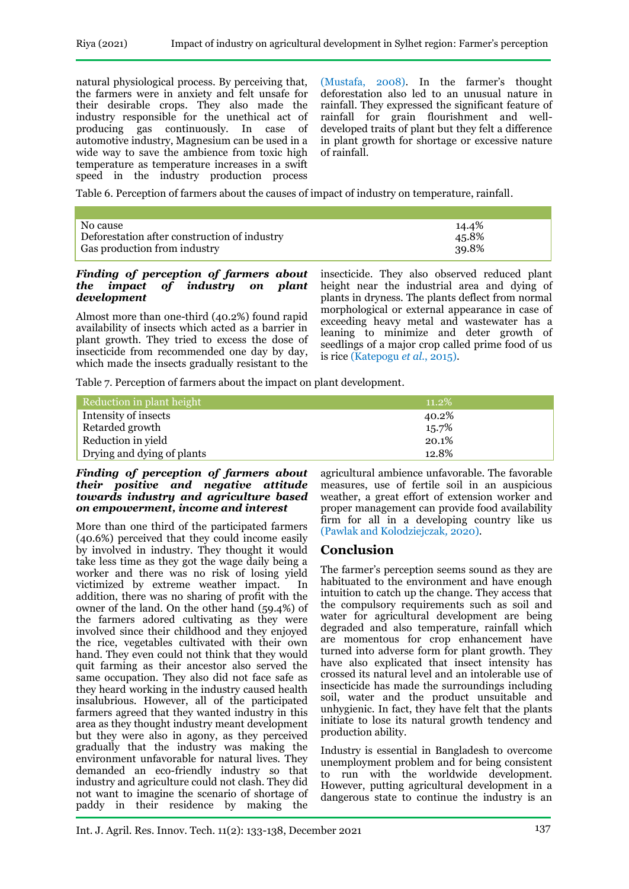natural physiological process. By perceiving that, the farmers were in anxiety and felt unsafe for their desirable crops. They also made the industry responsible for the unethical act of producing gas continuously. In case of automotive industry, Magnesium can be used in a wide way to save the ambience from toxic high temperature as temperature increases in a swift speed in the industry production process

(Mustafa, 2008). In the farmer's thought deforestation also led to an unusual nature in rainfall. They expressed the significant feature of rainfall for grain flourishment and welldeveloped traits of plant but they felt a difference in plant growth for shortage or excessive nature of rainfall.

Table 6. Perception of farmers about the causes of impact of industry on temperature, rainfall.

| No cause                                     | 14.4% |
|----------------------------------------------|-------|
| Deforestation after construction of industry | 45.8% |
| Gas production from industry                 | 39.8% |

#### *Finding of perception of farmers about the impact of industry on plant development*

Almost more than one-third (40.2%) found rapid availability of insects which acted as a barrier in plant growth. They tried to excess the dose of insecticide from recommended one day by day, which made the insects gradually resistant to the insecticide. They also observed reduced plant height near the industrial area and dying of plants in dryness. The plants deflect from normal morphological or external appearance in case of exceeding heavy metal and wastewater has a leaning to minimize and deter growth of seedlings of a major crop called prime food of us is rice (Katepogu *et al.*, 2015).

Table 7. Perception of farmers about the impact on plant development.

| Reduction in plant height  | $11.2\%$ |
|----------------------------|----------|
| Intensity of insects       | 40.2%    |
| Retarded growth            | 15.7%    |
| Reduction in yield         | 20.1%    |
| Drying and dying of plants | 12.8%    |

#### *Finding of perception of farmers about their positive and negative attitude towards industry and agriculture based on empowerment, income and interest*

More than one third of the participated farmers (40.6%) perceived that they could income easily by involved in industry. They thought it would take less time as they got the wage daily being a worker and there was no risk of losing yield victimized by extreme weather impact. In addition, there was no sharing of profit with the owner of the land. On the other hand (59.4%) of the farmers adored cultivating as they were involved since their childhood and they enjoyed the rice, vegetables cultivated with their own hand. They even could not think that they would quit farming as their ancestor also served the same occupation. They also did not face safe as they heard working in the industry caused health insalubrious. However, all of the participated farmers agreed that they wanted industry in this area as they thought industry meant development but they were also in agony, as they perceived gradually that the industry was making the environment unfavorable for natural lives. They demanded an eco-friendly industry so that industry and agriculture could not clash. They did not want to imagine the scenario of shortage of paddy in their residence by making the

agricultural ambience unfavorable. The favorable measures, use of fertile soil in an auspicious weather, a great effort of extension worker and proper management can provide food availability firm for all in a developing country like us (Pawlak and Kolodziejczak*,* 2020).

## **Conclusion**

The farmer's perception seems sound as they are habituated to the environment and have enough intuition to catch up the change. They access that the compulsory requirements such as soil and water for agricultural development are being degraded and also temperature, rainfall which are momentous for crop enhancement have turned into adverse form for plant growth. They have also explicated that insect intensity has crossed its natural level and an intolerable use of insecticide has made the surroundings including soil, water and the product unsuitable and unhygienic. In fact, they have felt that the plants initiate to lose its natural growth tendency and production ability.

Industry is essential in Bangladesh to overcome unemployment problem and for being consistent to run with the worldwide development. However, putting agricultural development in a dangerous state to continue the industry is an